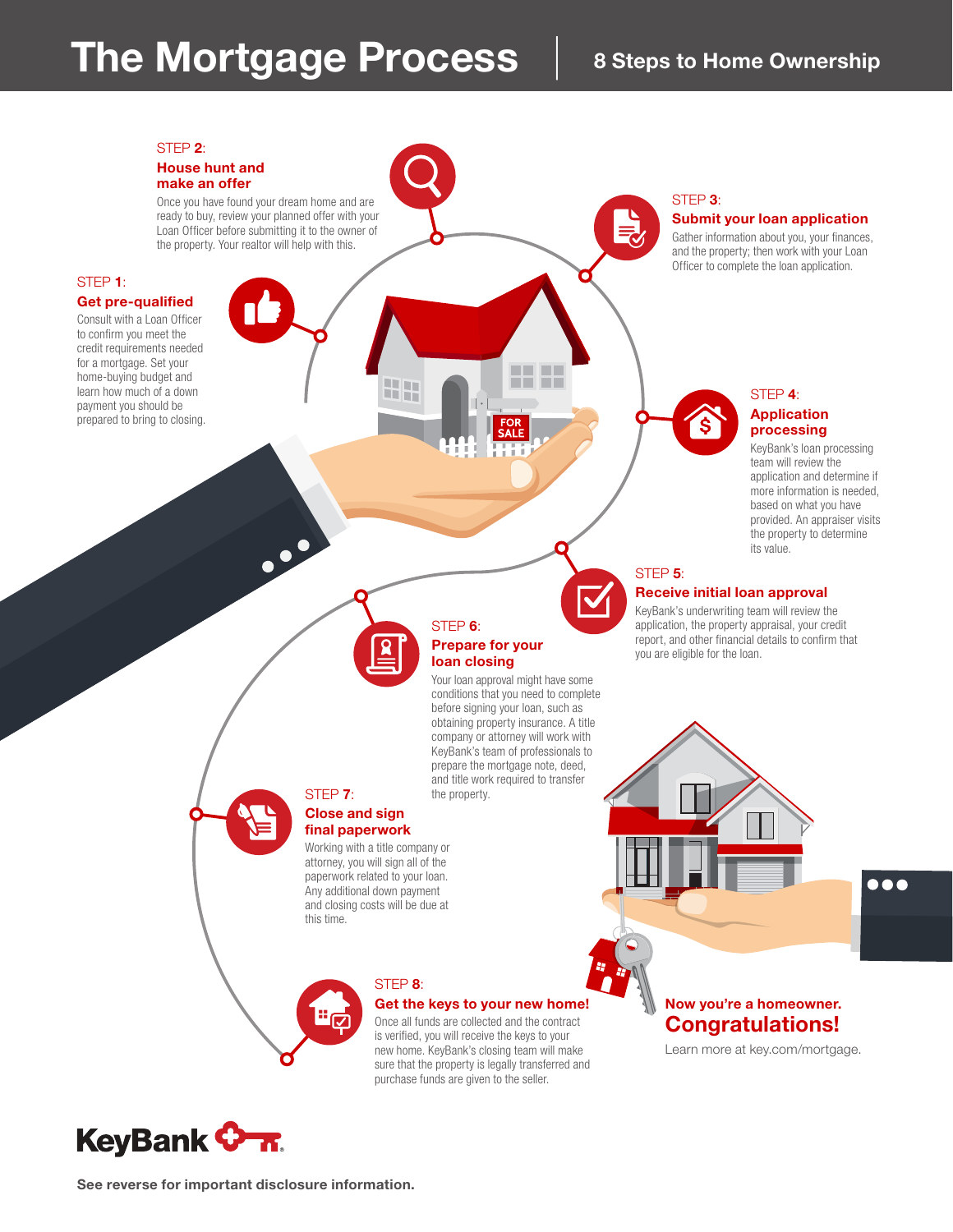## The Mortgage Process | 8 Steps to Home Ownership



See reverse for important disclosure information.